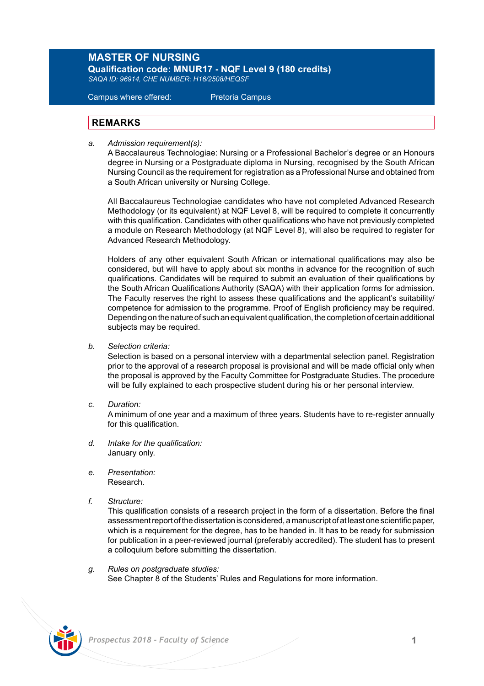## **MASTER OF NURSING**

**Qualification code: MNUR17 - NQF Level 9 (180 credits)**  *SAQA ID: 96914, CHE NUMBER: H16/2508/HEQSF*

Campus where offered: Pretoria Campus

## **REMARKS**

*a. Admission requirement(s):* 

 A Baccalaureus Technologiae: Nursing or a Professional Bachelor's degree or an Honours degree in Nursing or a Postgraduate diploma in Nursing, recognised by the South African Nursing Council as the requirement for registration as a Professional Nurse and obtained from a South African university or Nursing College.

 All Baccalaureus Technologiae candidates who have not completed Advanced Research Methodology (or its equivalent) at NQF Level 8, will be required to complete it concurrently with this qualification. Candidates with other qualifications who have not previously completed a module on Research Methodology (at NQF Level 8), will also be required to register for Advanced Research Methodology.

Holders of any other equivalent South African or international qualifications may also be considered, but will have to apply about six months in advance for the recognition of such qualifications. Candidates will be required to submit an evaluation of their qualifications by the South African Qualifications Authority (SAQA) with their application forms for admission. The Faculty reserves the right to assess these qualifications and the applicant's suitability/ competence for admission to the programme. Proof of English proficiency may be required. Depending on the nature of such an equivalent qualification, the completion of certain additional subjects may be required.

*b. Selection criteria:*

Selection is based on a personal interview with a departmental selection panel. Registration prior to the approval of a research proposal is provisional and will be made official only when the proposal is approved by the Faculty Committee for Postgraduate Studies. The procedure will be fully explained to each prospective student during his or her personal interview.

*c. Duration:* 

A minimum of one year and a maximum of three years. Students have to re-register annually for this qualification.

- *d. Intake for the qualification:* January only.
- *e. Presentation:*  Research.
- *f. Structure:*

This qualification consists of a research project in the form of a dissertation. Before the final assessment report of the dissertation is considered, a manuscript of at least one scientific paper, which is a requirement for the degree, has to be handed in. It has to be ready for submission for publication in a peer-reviewed journal (preferably accredited). The student has to present a colloquium before submitting the dissertation.

*g. Rules on postgraduate studies:* See Chapter 8 of the Students' Rules and Regulations for more information.